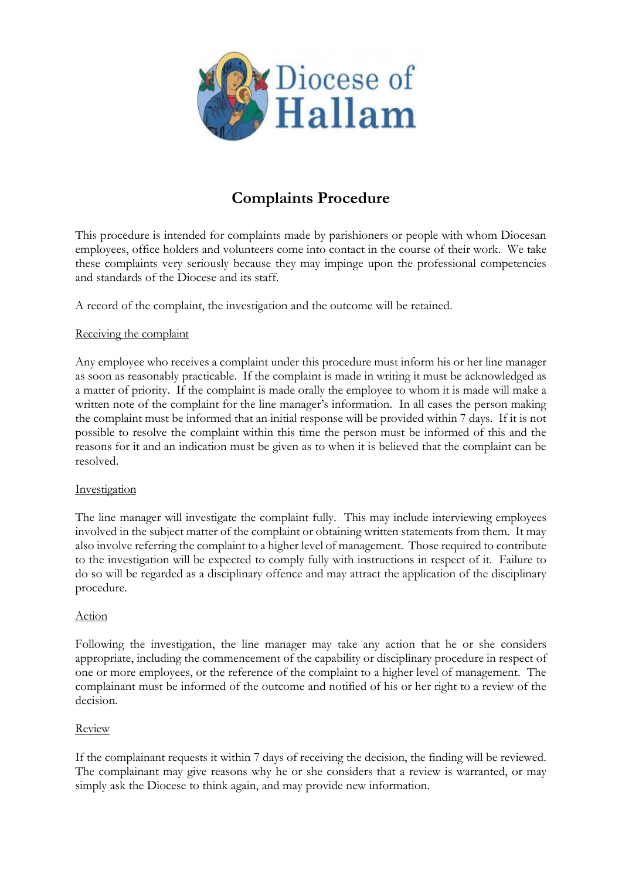

# **Complaints Procedure**

This procedure is intended for complaints made by parishioners or people with whom Diocesan employees, office holders and volunteers come into contact in the course of their work. We take these complaints very seriously because they may impinge upon the professional competencies and standards of the Diocese and its staff.

A record of the complaint, the investigation and the outcome will be retained.

## Receiving the complaint

Any employee who receives a complaint under this procedure must inform his or her line manager as soon as reasonably practicable. If the complaint is made in writing it must be acknowledged as a matter of priority. If the complaint is made orally the employee to whom it is made will make a written note of the complaint for the line manager's information. In all cases the person making the complaint must be informed that an initial response will be provided within 7 days. If it is not possible to resolve the complaint within this time the person must be informed of this and the reasons for it and an indication must be given as to when it is believed that the complaint can be resolved.

### Investigation

The line manager will investigate the complaint fully. This may include interviewing employees involved in the subject matter of the complaint or obtaining written statements from them. It may also involve referring the complaint to a higher level of management. Those required to contribute to the investigation will be expected to comply fully with instructions in respect of it. Failure to do so will be regarded as a disciplinary offence and may attract the application of the disciplinary procedure.

### Action

Following the investigation, the line manager may take any action that he or she considers appropriate, including the commencement of the capability or disciplinary procedure in respect of one or more employees, or the reference of the complaint to a higher level of management. The complainant must be informed of the outcome and notified of his or her right to a review of the decision.

### Review

If the complainant requests it within 7 days of receiving the decision, the finding will be reviewed. The complainant may give reasons why he or she considers that a review is warranted, or may simply ask the Diocese to think again, and may provide new information.